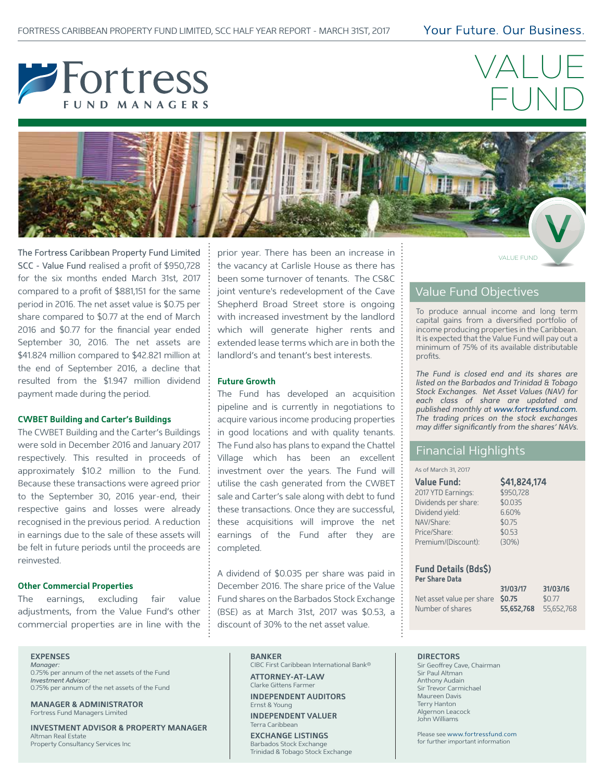## Your Future, Our Business,



# VALUE FUND



The Fortress Caribbean Property Fund Limited  $\frac{1}{2}$  prior year. There has been an increase in  $\frac{1}{2}$ SCC - Value Fund realised a profit of \$950,728 for the six months ended March 31st, 2017 compared to a profit of \$881,151 for the same period in 2016. The net asset value is \$0.75 per share compared to \$0.77 at the end of March 2016 and \$0.77 for the financial year ended September 30, 2016. The net assets are \$41.824 million compared to \$42.821 million at the end of September 2016, a decline that resulted from the \$1.947 million dividend payment made during the period.

#### **CWBET Building and Carter's Buildings**

The CWBET Building and the Carter's Buildings were sold in December 2016 and January 2017 respectively. This resulted in proceeds of approximately \$10.2 million to the Fund. Because these transactions were agreed prior to the September 30, 2016 year-end, their respective gains and losses were already recognised in the previous period. A reduction in earnings due to the sale of these assets will be felt in future periods until the proceeds are reinvested.

#### **Other Commercial Properties**

The earnings, excluding fair value adjustments, from the Value Fund's other commercial properties are in line with the

prior year. There has been an increase in the vacancy at Carlisle House as there has been some turnover of tenants. The CS&C joint venture's redevelopment of the Cave Shepherd Broad Street store is ongoing with increased investment by the landlord which will generate higher rents and extended lease terms which are in both the landlord's and tenant's best interests.

#### **Future Growth**

The Fund has developed an acquisition pipeline and is currently in negotiations to acquire various income producing properties in good locations and with quality tenants. The Fund also has plans to expand the Chattel Village which has been an excellent investment over the years. The Fund will utilise the cash generated from the CWBET sale and Carter's sale along with debt to fund these transactions. Once they are successful, these acquisitions will improve the net earnings of the Fund after they are completed.

A dividend of \$0.035 per share was paid in December 2016. The share price of the Value Fund shares on the Barbados Stock Exchange (BSE) as at March 31st, 2017 was \$0.53, a discount of 30% to the net asset value.

## Value Fund Objectives

To produce annual income and long term capital gains from a diversified portfolio of income producing properties in the Caribbean. It is expected that the Value Fund will pay out a minimum of 75% of its available distributable profits.

*The Fund is closed end and its shares are listed on the Barbados and Trinidad & Tobago Stock Exchanges. Net Asset Values (NAV) for each class of share are updated and published monthly at www.fortressfund.com. The trading prices on the stock exchanges may dier significantly from the shares' NAVs.*

## Financial Highlights

#### As of March 31, 2017

| \$41,824,174 |
|--------------|
| \$950,728    |
| \$0.035      |
| 6.60%        |
| \$0.75       |
| \$0.53       |
| (30%)        |
|              |

#### **Fund Details (Bds\$) Per Share Data**

|                                  | 31/03/17              | 31/03/16 |
|----------------------------------|-----------------------|----------|
| Net asset value per share \$0.75 |                       | \$0.77   |
| Number of shares                 | 55,652,768 55,652,768 |          |

**EXPENSES**

*Manager:*  0.75% per annum of the net assets of the Fund *Investment Advisor:*  0.75% per annum of the net assets of the Fund

**MANAGER & ADMINISTRATOR** Fortress Fund Managers Limited

**INVESTMENT ADVISOR & PROPERTY MANAGER** Altman Real Estate Property Consultancy Services Inc

#### **BANKER**

CIBC First Caribbean International Bank® **ATTORNEY-AT-LAW**

Clarke Gittens Farmer

**INDEPENDENT AUDITORS** Ernst & Young **INDEPENDENT VALUER**

Terra Caribbean

**EXCHANGE LISTINGS** Barbados Stock Exchange Trinidad & Tobago Stock Exchange

#### **DIRECTORS**

Sir Geoffrey Cave, Chairman Sir Paul Altman Anthony Audain Sir Trevor Carmichael Maureen Davis Terry Hanton Algernon Leacock John Williams

Please see www.fortressfund.com for further important information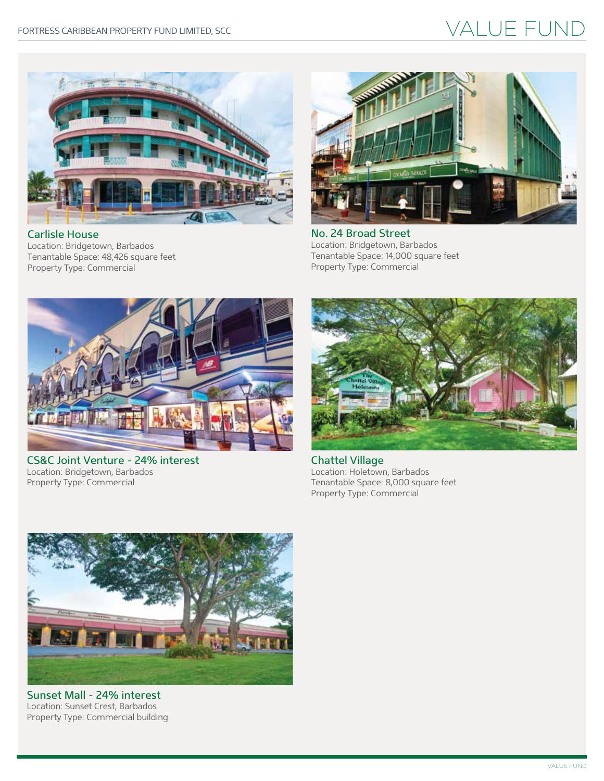## VALUE FUND



Carlisle House Location: Bridgetown, Barbados Tenantable Space: 48,426 square feet Property Type: Commercial



No. 24 Broad Street Location: Bridgetown, Barbados Tenantable Space: 14,000 square feet Property Type: Commercial



CS&C Joint Venture - 24% interest Location: Bridgetown, Barbados Property Type: Commercial



Chattel Village Location: Holetown, Barbados Tenantable Space: 8,000 square feet Property Type: Commercial



Sunset Mall - 24% interest Location: Sunset Crest, Barbados Property Type: Commercial building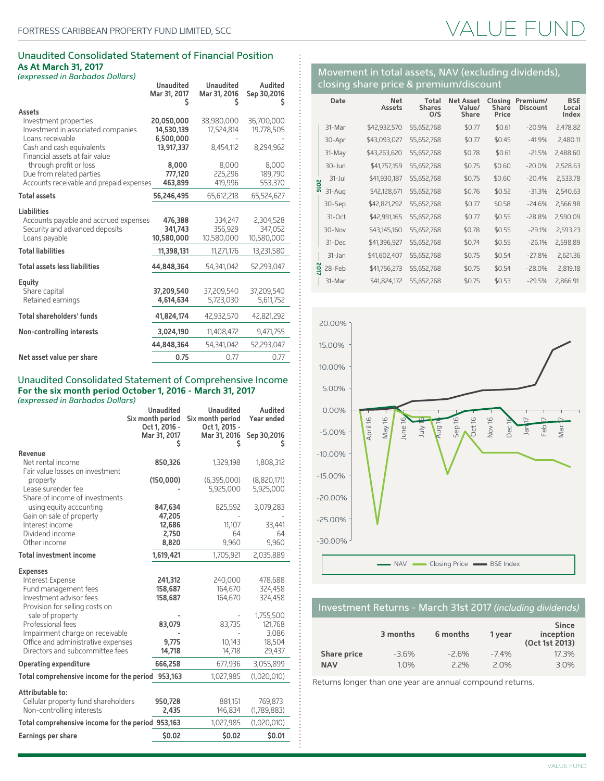### Unaudited Consolidated Statement of Financial Position **As At March 31, 2017**

|                                          | <b>Unaudited</b><br>Mar 31, 2017 | <b>Unaudited</b><br>Mar 31, 2016 | Audited<br>Sep 30,2016 |
|------------------------------------------|----------------------------------|----------------------------------|------------------------|
| Assets                                   |                                  |                                  |                        |
| Investment properties                    | 20,050,000                       | 38,980,000                       | 36,700,000             |
| Investment in associated companies       | 14,530,139                       | 17,524,814                       | 19,778,505             |
| Loans receivable                         | 6,500,000                        |                                  |                        |
| Cash and cash equivalents                | 13,917,337                       | 8,454,112                        | 8,294,962              |
| Financial assets at fair value           |                                  |                                  |                        |
| through profit or loss                   | 8,000                            | 8,000                            | 8,000                  |
| Due from related parties                 | 777.120                          | 225,296                          | 189,790                |
| Accounts receivable and prepaid expenses | 463,899                          | 419,996                          | 553,370                |
|                                          |                                  |                                  |                        |
| <b>Total assets</b>                      | 56,246,495                       | 65,612,218                       | 65,524,627             |
| <b>Liabilities</b>                       |                                  |                                  |                        |
| Accounts payable and accrued expenses    | 476,388                          | 334,247                          | 2,304,528              |
| Security and advanced deposits           | 341,743                          | 356,929                          | 347,052                |
| Loans payable                            | 10,580,000                       | 10,580,000                       | 10,580,000             |
|                                          |                                  |                                  |                        |
| <b>Total liabilities</b>                 | 11,398,131                       | 11,271,176                       | 13,231,580             |
| <b>Total assets less liabilities</b>     | 44,848,364                       | 54,341,042                       | 52,293,047             |
| Equity                                   |                                  |                                  |                        |
| Share capital                            | 37.209.540                       | 37,209,540                       | 37,209,540             |
| Retained earnings                        | 4,614,634                        | 5,723,030                        | 5,611,752              |
|                                          |                                  |                                  |                        |
| <b>Total shareholders' funds</b>         | 41,824,174                       | 42,932,570                       | 42,821,292             |
| Non-controlling interests                | 3,024,190                        | 11,408,472                       | 9,471,755              |
|                                          | 44,848,364                       | 54,341,042                       | 52,293,047             |
| Net asset value per share                | 0.75                             | 0.77                             | 0.77                   |
|                                          |                                  |                                  |                        |

## Unaudited Consolidated Statement of Comprehensive Income **For the six month period October 1, 2016 - March 31, 2017**

*(expressed in Barbados Dollars)*

|                                                                                                     | <b>Unaudited</b><br>Six month period | Unaudited<br>Six month period      | Audited<br>Year ended    |
|-----------------------------------------------------------------------------------------------------|--------------------------------------|------------------------------------|--------------------------|
|                                                                                                     | Oct 1, 2016 -<br>Mar 31, 2017        | Oct 1, 2015 -<br>Mar 31, 2016<br>s | Sep 30,2016<br>s         |
| Revenue                                                                                             |                                      |                                    |                          |
| Net rental income                                                                                   | 850,326                              | 1,329,198                          | 1,808,312                |
| Fair value losses on investment<br>property<br>Lease surender fee<br>Share of income of investments | (150,000)                            | (6,395,000)<br>5,925,000           | (8,820,171)<br>5,925,000 |
| using equity accounting                                                                             | 847,634                              | 825,592                            | 3,079,283                |
| Gain on sale of property                                                                            | 47,205                               |                                    |                          |
| Interest income                                                                                     | 12,686                               | 11,107                             | 33,441                   |
| Dividend income                                                                                     | 2,750                                | 64                                 | 64                       |
| Other income                                                                                        | 8,820                                | 9,960                              | 9,960                    |
| <b>Total investment income</b>                                                                      | 1,619,421                            | 1,705,921                          | 2,035,889                |
| <b>Expenses</b>                                                                                     |                                      |                                    |                          |
| Interest Expense                                                                                    | 241,312                              | 240,000                            | 478,688                  |
| Fund management fees                                                                                | 158,687                              | 164,670                            | 324,458                  |
| Investment advisor fees                                                                             | 158,687                              | 164,670                            | 324,458                  |
| Provision for selling costs on                                                                      |                                      |                                    |                          |
| sale of property<br>Professional fees                                                               |                                      |                                    | 1,755,500<br>121,768     |
| Impairment charge on receivable                                                                     | 83,079                               | 83,735                             | 3,086                    |
| Office and administrative expenses                                                                  | 9,775                                | 10.143                             | 18,504                   |
| Directors and subcommittee fees                                                                     | 14,718                               | 14,718                             | 29,437                   |
| <b>Operating expenditure</b>                                                                        | 666,258                              | 677,936                            | 3,055,899                |
| Total comprehensive income for the period 953,163                                                   |                                      | 1,027,985                          | (1,020,010)              |
| Attributable to:                                                                                    |                                      |                                    |                          |
| Cellular property fund shareholders                                                                 | 950,728                              | 881,151                            | 769,873                  |
| Non-controlling interests                                                                           | 2,435                                | 146,834                            | (1,789,883)              |
| Total comprehensive income for the period 953,163                                                   |                                      | 1,027,985                          | (1,020,010)              |
| Earnings per share                                                                                  | \$0.02                               | \$0.02                             | \$0.01                   |
|                                                                                                     |                                      |                                    |                          |

## VALUE FI

|              | Date       | <b>Net</b><br><b>Assets</b> | Total<br><b>Shares</b><br>O/S | <b>Net Asset</b><br>Value/<br><b>Share</b> | Closing<br>Share<br>Price | Premium/<br><b>Discount</b> | <b>BSE</b><br>Local<br>Index |
|--------------|------------|-----------------------------|-------------------------------|--------------------------------------------|---------------------------|-----------------------------|------------------------------|
|              | 31-Mar     | \$42,932,570                | 55,652,768                    | \$0.77                                     | \$0.61                    | $-20.9%$                    | 2,478.82                     |
|              | 30-Apr     | \$43,093,027                | 55,652,768                    | \$0.77                                     | \$0.45                    | $-41.9%$                    | 2,480.11                     |
|              | 31-May     | \$43,263,620                | 55,652,768                    | \$0.78                                     | \$0.61                    | $-21.5%$                    | 2,488.60                     |
|              | $30 - Jun$ | \$41,757,159                | 55,652,768                    | \$0.75                                     | \$0.60                    | $-20.0%$                    | 2,528.63                     |
| $\mathbf{v}$ | $31 - Ju$  | \$41,930,187                | 55,652,768                    | \$0.75                                     | \$0.60                    | $-20.4%$                    | 2,533.78                     |
| <b>SIG</b>   | 31-Aug     | \$42,128,671                | 55,652,768                    | \$0.76                                     | \$0.52                    | $-31.3%$                    | 2,540.63                     |
|              | 30-Sep     | \$42,821,292                | 55,652,768                    | \$0.77                                     | \$0.58                    | $-24.6%$                    | 2,566.98                     |
|              | 31-Oct     | \$42,991,165                | 55,652,768                    | \$0.77                                     | \$0.55                    | $-28.8%$                    | 2,590.09                     |
|              | 30-Nov     | \$43,145,160                | 55,652,768                    | \$0.78                                     | \$0.55                    | $-29.1%$                    | 2,593.23                     |
|              | 31-Dec     | \$41,396,927                | 55,652,768                    | \$0.74                                     | \$0.55                    | $-26.1%$                    | 2,598.89                     |
|              | 31-Jan     | \$41,602,407                | 55,652,768                    | \$0.75                                     | \$0.54                    | $-27.8%$                    | 2,621.36                     |
| Ιõ           | 28-Feb     | \$41,756,273                | 55,652,768                    | \$0.75                                     | \$0.54                    | $-28.0%$                    | 2,819.18                     |
|              | 31-Mar     | \$41,824,172                | 55,652,768                    | \$0.75                                     | \$0.53                    | $-29.5%$                    | 2,866.91                     |

Movement in total assets, NAV (excluding dividends),

closing share price & premium/discount



## Investment Returns - March 31st 2017 *(including dividends)*

|                    | 3 months | 6 months | 1 year  | <b>Since</b><br>inception<br>(Oct 1st 2013) |
|--------------------|----------|----------|---------|---------------------------------------------|
| <b>Share price</b> | $-3.6\%$ | $-2.6%$  | $-7.4%$ | $17.3\%$                                    |
| <b>NAV</b>         | 1.0%     | 22%      | $2.0\%$ | 3.0%                                        |

Returns longer than one year are annual compound returns.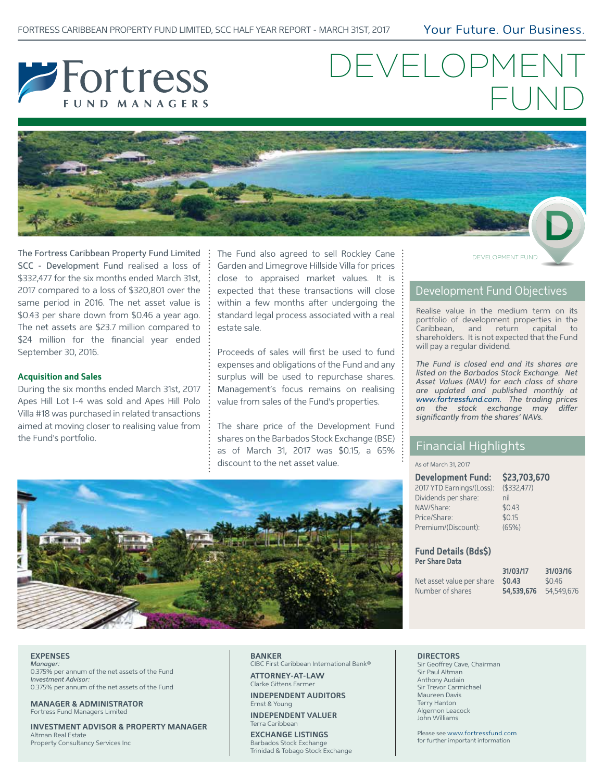Your Future, Our Business,



# DEVELOPME FUND



The Fortress Caribbean Property Fund Limited SCC - Development Fund realised a loss of \$332,477 for the six months ended March 31st, 2017 compared to a loss of \$320,801 over the same period in 2016. The net asset value is \$0.43 per share down from \$0.46 a year ago. The net assets are \$23.7 million compared to \$24 million for the financial year ended September 30, 2016.

#### **Acquisition and Sales**

During the six months ended March 31st, 2017 Apes Hill Lot I-4 was sold and Apes Hill Polo Villa #18 was purchased in related transactions aimed at moving closer to realising value from the Fund's portfolio.

The Fund also agreed to sell Rockley Cane Garden and Limegrove Hillside Villa for prices close to appraised market values. It is expected that these transactions will close within a few months after undergoing the standard legal process associated with a real estate sale.

Proceeds of sales will first be used to fund expenses and obligations of the Fund and any surplus will be used to repurchase shares. Management's focus remains on realising value from sales of the Fund's properties.

The share price of the Development Fund shares on the Barbados Stock Exchange (BSE) as of March 31, 2017 was \$0.15, a 65% discount to the net asset value.

DEVELOPMENT FUND

## Development Fund Objectives

Realise value in the medium term on its portfolio of development properties in the Caribbean, and return capital to shareholders. It is not expected that the Fund will pay a regular dividend.

*The Fund is closed end and its shares are listed on the Barbados Stock Exchange. Net Asset Values (NAV) for each class of share are updated and published monthly at www.fortressfund.com. The trading prices*  on the stock exchange may differ *significantly from the shares' NAVs.*

## Financial Highlights

#### As of March 31, 2017

| Development Fund: \$23,703,670 |                |
|--------------------------------|----------------|
| 2017 YTD Earnings/(Loss):      | $($ \$332,477) |
| Dividends per share:           | nil            |
| NAV/Share:                     | \$0.43         |
| Price/Share:                   | \$0.15         |
| Premium/(Discount):            | (65%)          |

**Fund Details (Bds\$) Per Share Data**

|                           | 31/03/17          | 31/03/16   |
|---------------------------|-------------------|------------|
| Net asset value per share | S <sub>0.43</sub> | \$0.46     |
| Number of shares          | 54,539,676        | 54,549,676 |



### **EXPENSES**

*Manager:*  0.375% per annum of the net assets of the Fund *Investment Advisor:*  0.375% per annum of the net assets of the Fund

**MANAGER & ADMINISTRATOR** Fortress Fund Managers Limited

**INVESTMENT ADVISOR & PROPERTY MANAGER** Altman Real Estate Property Consultancy Services Inc

#### **BANKER**

CIBC First Caribbean International Bank®

**ATTORNEY-AT-LAW** Clarke Gittens Farmer **INDEPENDENT AUDITORS**

Ernst & Young

**INDEPENDENT VALUER** Terra Caribbean

**EXCHANGE LISTINGS** Barbados Stock Exchange Trinidad & Tobago Stock Exchange

#### **DIRECTORS**

Sir Geoffrey Cave, Chairman Sir Paul Altman Anthony Audain Sir Trevor Carmichael Maureen Davis Terry Hanton Algernon Leacock John Williams

Please see www.fortressfund.com for further important information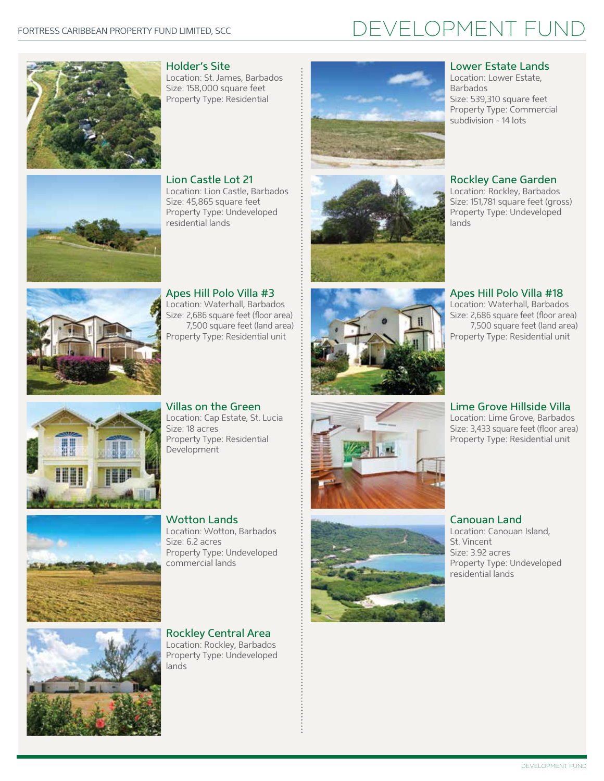## DEVELOPMENT FUND



Holder's Site Location: St. James, Barbados Size: 158,000 square feet Property Type: Residential



Lion Castle Lot 21 Location: Lion Castle, Barbados Size: 45,865 square feet Property Type: Undeveloped residential lands

Apes Hill Polo Villa #3 Location: Waterhall, Barbados Size: 2,686 square feet (floor area) 7,500 square feet (land area) Property Type: Residential unit



Villas on the Green Location: Cap Estate, St. Lucia Size: 18 acres Property Type: Residential Development



Wotton Lands Location: Wotton, Barbados Size: 6.2 acres Property Type: Undeveloped commercial lands



Rockley Central Area Location: Rockley, Barbados Property Type: Undeveloped lands











## Lower Estate Lands

Location: Lower Estate, Barbados Size: 539,310 square feet Property Type: Commercial subdivision - 14 lots

Rockley Cane Garden

Location: Rockley, Barbados Size: 151,781 square feet (gross) Property Type: Undeveloped lands

Apes Hill Polo Villa #18

Location: Waterhall, Barbados Size: 2,686 square feet (floor area) 7,500 square feet (land area) Property Type: Residential unit

Lime Grove Hillside Villa Location: Lime Grove, Barbados

Size: 3,433 square feet (floor area) Property Type: Residential unit

#### Canouan Land Location: Canouan Island, St. Vincent Size: 3.92 acres Property Type: Undeveloped residential lands